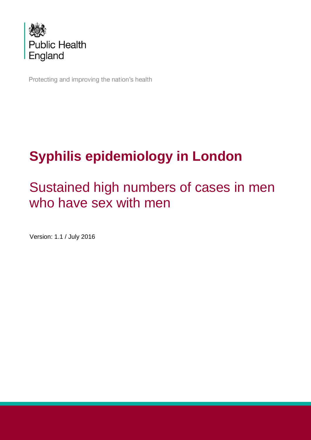

Protecting and improving the nation's health

# **Syphilis epidemiology in London**

# Sustained high numbers of cases in men who have sex with men

Version: 1.1 / July 2016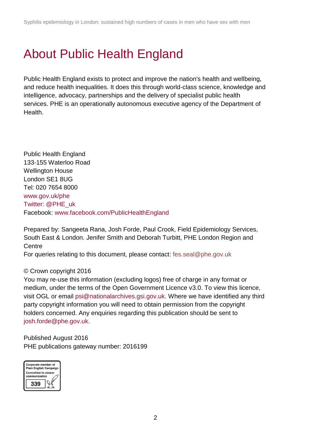## <span id="page-1-0"></span>About Public Health England

Public Health England exists to protect and improve the nation's health and wellbeing, and reduce health inequalities. It does this through world-class science, knowledge and intelligence, advocacy, partnerships and the delivery of specialist public health services. PHE is an operationally autonomous executive agency of the Department of Health.

Public Health England 133-155 Waterloo Road Wellington House London SE1 8UG Tel: 020 7654 8000 [www.gov.uk/phe](http://www.gov.uk/phe) Twitter: [@PHE\\_uk](https://twitter.com/PHE_uk) Facebook: [www.facebook.com/PublicHealthEngland](http://www.facebook.com/PublicHealthEngland)

Prepared by: Sangeeta Rana, Josh Forde, Paul Crook, Field Epidemiology Services, South East & London. Jenifer Smith and Deborah Turbitt, PHE London Region and **Centre** 

For queries relating to this document, please contact: fes.seal@phe.gov.uk

#### © Crown copyright 2016

You may re-use this information (excluding logos) free of charge in any format or medium, under the terms of the Open Government Licence v3.0. To view this licence, visit OGL or email [psi@nationalarchives.gsi.gov.uk.](mailto:psi@nationalarchives.gsi.gov.uk) Where we have identified any third party copyright information you will need to obtain permission from the copyright holders concerned. Any enquiries regarding this publication should be sent to [josh.forde@phe.gov.uk.](mailto:josh.forde@phe.gov.uk)

Published August 2016 PHE publications gateway number: 2016199

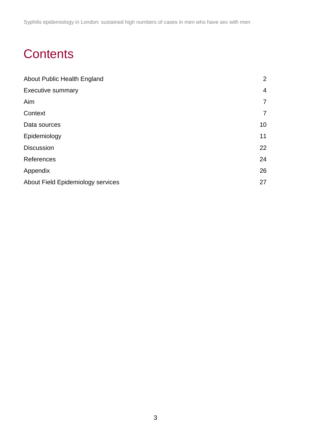Syphilis epidemiology in London: sustained high numbers of cases in men who have sex with men

## **Contents**

| About Public Health England       | 2              |
|-----------------------------------|----------------|
| <b>Executive summary</b>          | $\overline{4}$ |
| Aim                               | $\overline{7}$ |
| Context                           | $\overline{7}$ |
| Data sources                      | 10             |
| Epidemiology                      | 11             |
| <b>Discussion</b>                 | 22             |
| References                        | 24             |
| Appendix                          | 26             |
| About Field Epidemiology services | 27             |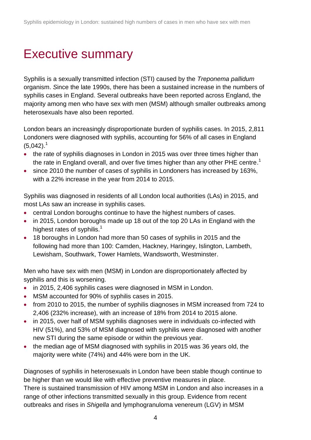## <span id="page-3-0"></span>Executive summary

Syphilis is a sexually transmitted infection (STI) caused by the *Treponema pallidum* organism. *S*ince the late 1990s, there has been a sustained increase in the numbers of syphilis cases in England. Several outbreaks have been reported across England, the majority among men who have sex with men (MSM) although smaller outbreaks among heterosexuals have also been reported.

London bears an increasingly disproportionate burden of syphilis cases. In 2015, 2,811 Londoners were diagnosed with syphilis, accounting for 56% of all cases in England  $(5,042).$ <sup>1</sup>

- the rate of syphilis diagnoses in London in 2015 was over three times higher than the rate in England overall, and over five times higher than any other PHE centre.<sup>1</sup>
- since 2010 the number of cases of syphilis in Londoners has increased by 163%, with a 22% increase in the year from 2014 to 2015.

Syphilis was diagnosed in residents of all London local authorities (LAs) in 2015, and most LAs saw an increase in syphilis cases.

- central London boroughs continue to have the highest numbers of cases.
- in 2015, London boroughs made up 18 out of the top 20 LAs in England with the highest rates of syphilis.<sup>1</sup>
- 18 boroughs in London had more than 50 cases of syphilis in 2015 and the following had more than 100: Camden, Hackney, Haringey, Islington, Lambeth, Lewisham, Southwark, Tower Hamlets, Wandsworth, Westminster.

Men who have sex with men (MSM) in London are disproportionately affected by syphilis and this is worsening.

- in 2015, 2,406 syphilis cases were diagnosed in MSM in London.
- MSM accounted for 90% of syphilis cases in 2015.
- from 2010 to 2015, the number of syphilis diagnoses in MSM increased from 724 to 2,406 (232% increase), with an increase of 18% from 2014 to 2015 alone.
- in 2015, over half of MSM syphilis diagnoses were in individuals co-infected with HIV (51%), and 53% of MSM diagnosed with syphilis were diagnosed with another new STI during the same episode or within the previous year.
- the median age of MSM diagnosed with syphilis in 2015 was 36 years old, the majority were white (74%) and 44% were born in the UK.

Diagnoses of syphilis in heterosexuals in London have been stable though continue to be higher than we would like with effective preventive measures in place. There is sustained transmission of HIV among MSM in London and also increases in a range of other infections transmitted sexually in this group. Evidence from recent outbreaks and rises in *Shigella* and lymphogranuloma venereum (LGV) in MSM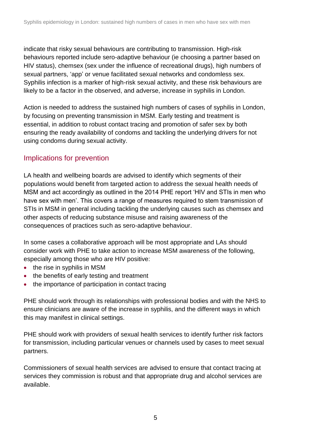indicate that risky sexual behaviours are contributing to transmission. High-risk behaviours reported include sero-adaptive behaviour (ie choosing a partner based on HIV status), chemsex (sex under the influence of recreational drugs), high numbers of sexual partners, 'app' or venue facilitated sexual networks and condomless sex. Syphilis infection is a marker of high-risk sexual activity, and these risk behaviours are likely to be a factor in the observed, and adverse, increase in syphilis in London.

Action is needed to address the sustained high numbers of cases of syphilis in London, by focusing on preventing transmission in MSM. Early testing and treatment is essential, in addition to robust contact tracing and promotion of safer sex by both ensuring the ready availability of condoms and tackling the underlying drivers for not using condoms during sexual activity.

### Implications for prevention

LA health and wellbeing boards are advised to identify which segments of their populations would benefit from targeted action to address the sexual health needs of MSM and act accordingly as outlined in the 2014 PHE report 'HIV and STIs in men who have sex with men'. This covers a range of measures required to stem transmission of STIs in MSM in general including tackling the underlying causes such as chemsex and other aspects of reducing substance misuse and raising awareness of the consequences of practices such as sero-adaptive behaviour.

In some cases a collaborative approach will be most appropriate and LAs should consider work with PHE to take action to increase MSM awareness of the following, especially among those who are HIV positive:

- the rise in syphilis in MSM
- the benefits of early testing and treatment
- the importance of participation in contact tracing

PHE should work through its relationships with professional bodies and with the NHS to ensure clinicians are aware of the increase in syphilis, and the different ways in which this may manifest in clinical settings.

PHE should work with providers of sexual health services to identify further risk factors for transmission, including particular venues or channels used by cases to meet sexual partners.

Commissioners of sexual health services are advised to ensure that contact tracing at services they commission is robust and that appropriate drug and alcohol services are available.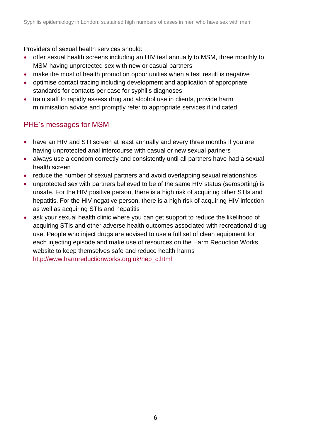Providers of sexual health services should:

- offer sexual health screens including an HIV test annually to MSM, three monthly to MSM having unprotected sex with new or casual partners
- make the most of health promotion opportunities when a test result is negative
- optimise contact tracing including development and application of appropriate standards for contacts per case for syphilis diagnoses
- train staff to rapidly assess drug and alcohol use in clients, provide harm minimisation advice and promptly refer to appropriate services if indicated

## PHE's messages for MSM

- have an HIV and STI screen at least annually and every three months if you are having unprotected anal intercourse with casual or new sexual partners
- always use a condom correctly and consistently until all partners have had a sexual health screen
- reduce the number of sexual partners and avoid overlapping sexual relationships
- unprotected sex with partners believed to be of the same HIV status (serosorting) is unsafe. For the HIV positive person, there is a high risk of acquiring other STIs and hepatitis. For the HIV negative person, there is a high risk of acquiring HIV infection as well as acquiring STIs and hepatitis
- ask your sexual health clinic where you can get support to reduce the likelihood of acquiring STIs and other adverse health outcomes associated with recreational drug use. People who inject drugs are advised to use a full set of clean equipment for each injecting episode and make use of resources on the Harm Reduction Works website to keep themselves safe and reduce health harms [http://www.harmreductionworks.org.uk/hep\\_c.html](http://www.harmreductionworks.org.uk/hep_c.html)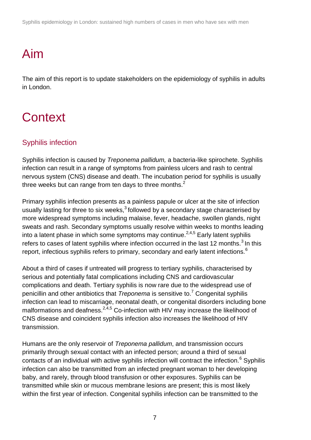Syphilis epidemiology in London: sustained high numbers of cases in men who have sex with men

# <span id="page-6-0"></span>Aim

The aim of this report is to update stakeholders on the epidemiology of syphilis in adults in London.

# <span id="page-6-1"></span>**Context**

## Syphilis infection

Syphilis infection is caused by *Treponema pallidum,* a bacteria-like spirochete. Syphilis infection can result in a range of symptoms from painless ulcers and rash to central nervous system (CNS) disease and death. The incubation period for syphilis is usually three weeks but can range from ten days to three months. $2$ 

Primary syphilis infection presents as a painless papule or ulcer at the site of infection usually lasting for three to six weeks. $3$  followed by a secondary stage characterised by more widespread symptoms including malaise, fever, headache, swollen glands, night sweats and rash. Secondary symptoms usually resolve within weeks to months leading into a latent phase in which some symptoms may continue.<sup>2,4,5</sup> Early latent syphilis refers to cases of latent syphilis where infection occurred in the last 12 months. $3$  In this report, infectious syphilis refers to primary, secondary and early latent infections.<sup>6</sup>

About a third of cases if untreated will progress to tertiary syphilis, characterised by serious and potentially fatal complications including CNS and cardiovascular complications and death. Tertiary syphilis is now rare due to the widespread use of penicillin and other antibiotics that *Treponema* is sensitive to.<sup>7</sup> Congenital syphilis infection can lead to miscarriage, neonatal death, or congenital disorders including bone malformations and deafness.  $2,4,5$  Co-infection with HIV may increase the likelihood of CNS disease and coincident syphilis infection also increases the likelihood of HIV transmission.

Humans are the only reservoir of *Treponema pallidum*, and transmission occurs primarily through sexual contact with an infected person; around a third of sexual contacts of an individual with active syphilis infection will contract the infection. $6$  Syphilis infection can also be transmitted from an infected pregnant woman to her developing baby, and rarely, through blood transfusion or other exposures. Syphilis can be transmitted while skin or mucous membrane lesions are present; this is most likely within the first year of infection. Congenital syphilis infection can be transmitted to the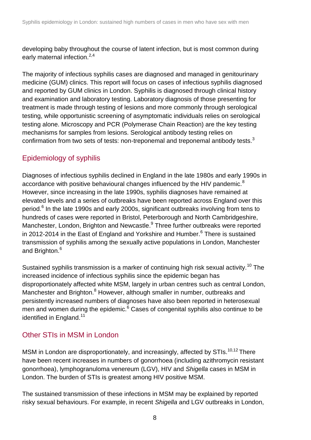developing baby throughout the course of latent infection, but is most common during early maternal infection.<sup>2,4</sup>

The majority of infectious syphilis cases are diagnosed and managed in genitourinary medicine (GUM) clinics. This report will focus on cases of infectious syphilis diagnosed and reported by GUM clinics in London. Syphilis is diagnosed through clinical history and examination and laboratory testing. Laboratory diagnosis of those presenting for treatment is made through testing of lesions and more commonly through serological testing, while opportunistic screening of asymptomatic individuals relies on serological testing alone. Microscopy and PCR (Polymerase Chain Reaction) are the key testing mechanisms for samples from lesions. Serological antibody testing relies on confirmation from two sets of tests: non-treponemal and treponemal antibody tests. $3$ 

## Epidemiology of syphilis

Diagnoses of infectious syphilis declined in England in the late 1980s and early 1990s in accordance with positive behavioural changes influenced by the HIV pandemic.<sup>8</sup> However, since increasing in the late 1990s, syphilis diagnoses have remained at elevated levels and a series of outbreaks have been reported across England over this period.<sup>6</sup> In the late 1990s and early 2000s, significant outbreaks involving from tens to hundreds of cases were reported in Bristol, Peterborough and North Cambridgeshire, Manchester, London, Brighton and Newcastle.<sup>9</sup> Three further outbreaks were reported in 2012-2014 in the East of England and Yorkshire and Humber. $6$  There is sustained transmission of syphilis among the sexually active populations in London, Manchester and Brighton.<sup>6</sup>

Sustained syphilis transmission is a marker of continuing high risk sexual activity.<sup>10</sup> The increased incidence of infectious syphilis since the epidemic began has disproportionately affected white MSM, largely in urban centres such as central London, Manchester and Brighton.<sup>8</sup> However, although smaller in number, outbreaks and persistently increased numbers of diagnoses have also been reported in heterosexual men and women during the epidemic. $6$  Cases of congenital syphilis also continue to be identified in England.<sup>11</sup>

## Other STIs in MSM in London

MSM in London are disproportionately, and increasingly, affected by STIs.<sup>10,12</sup> There have been recent increases in numbers of gonorrhoea (including azithromycin resistant gonorrhoea), lymphogranuloma venereum (LGV), HIV and *Shigella* cases in MSM in London. The burden of STIs is greatest among HIV positive MSM.

The sustained transmission of these infections in MSM may be explained by reported risky sexual behaviours. For example, in recent *Shigella* and LGV outbreaks in London,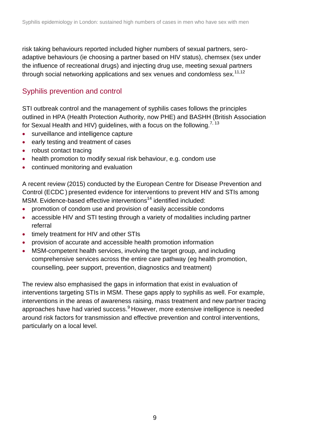risk taking behaviours reported included higher numbers of sexual partners, seroadaptive behaviours (ie choosing a partner based on HIV status), chemsex (sex under the influence of recreational drugs) and injecting drug use, meeting sexual partners through social networking applications and sex venues and condomless sex.<sup>11,12</sup>

## Syphilis prevention and control

STI outbreak control and the management of syphilis cases follows the principles outlined in HPA (Health Protection Authority, now PHE) and BASHH (British Association for Sexual Health and HIV) guidelines, with a focus on the following.<sup>7, 13</sup>

- surveillance and intelligence capture
- early testing and treatment of cases
- robust contact tracing
- health promotion to modify sexual risk behaviour, e.g. condom use
- continued monitoring and evaluation

A recent review (2015) conducted by the European Centre for Disease Prevention and Control (ECDC ) presented evidence for interventions to prevent HIV and STIs among MSM. Evidence-based effective interventions<sup>14</sup> identified included:

- promotion of condom use and provision of easily accessible condoms
- accessible HIV and STI testing through a variety of modalities including partner referral
- timely treatment for HIV and other STIs
- provision of accurate and accessible health promotion information
- MSM-competent health services, involving the target group, and including comprehensive services across the entire care pathway (eg health promotion, counselling, peer support, prevention, diagnostics and treatment)

The review also emphasised the gaps in information that exist in evaluation of interventions targeting STIs in MSM. These gaps apply to syphilis as well. For example, interventions in the areas of awareness raising, mass treatment and new partner tracing approaches have had varied success.<sup>9</sup> However, more extensive intelligence is needed around risk factors for transmission and effective prevention and control interventions, particularly on a local level.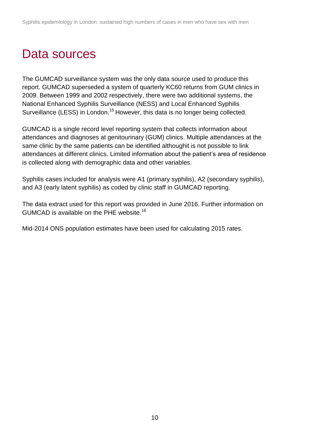## <span id="page-9-0"></span>Data sources

The GUMCAD surveillance system was the only data source used to produce this report. GUMCAD superseded a system of quarterly KC60 returns from GUM clinics in 2009. Between 1999 and 2002 respectively, there were two additional systems, the National Enhanced Syphilis Surveillance (NESS) and Local Enhanced Syphilis Surveillance (LESS) in London.<sup>15</sup> However, this data is no longer being collected.

GUMCAD is a single record level reporting system that collects information about attendances and diagnoses at genitourinary (GUM) clinics. Multiple attendances at the same clinic by the same patients can be identified althoughit is not possible to link attendances at different clinics. Limited information about the patient's area of residence is collected along with demographic data and other variables.

Syphilis cases included for analysis were A1 (primary syphilis), A2 (secondary syphilis), and A3 (early latent syphilis) as coded by clinic staff in GUMCAD reporting.

The data extract used for this report was provided in June 2016. Further information on GUMCAD is available on the PHE website.<sup>16</sup>

Mid-2014 ONS population estimates have been used for calculating 2015 rates.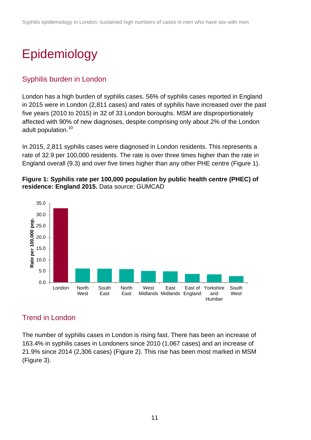# <span id="page-10-0"></span>Epidemiology

## Syphilis burden in London

London has a high burden of syphilis cases. 56% of syphilis cases reported in England in 2015 were in London (2,811 cases) and rates of syphilis have increased over the past five years (2010 to 2015) in 32 of 33 London boroughs. MSM are disproportionately affected with 90% of new diagnoses, despite comprising only about 2% of the London adult population.<sup>10</sup>

In 2015, 2,811 syphilis cases were diagnosed in London residents. This represents a rate of 32.9 per 100,000 residents. The rate is over three times higher than the rate in England overall (9.3) and over five times higher than any other PHE centre (Figure 1).





## Trend in London

The number of syphilis cases in London is rising fast. There has been an increase of 163.4% in syphilis cases in Londoners since 2010 (1,067 cases) and an increase of 21.9% since 2014 (2,306 cases) (Figure 2). This rise has been most marked in MSM (Figure 3).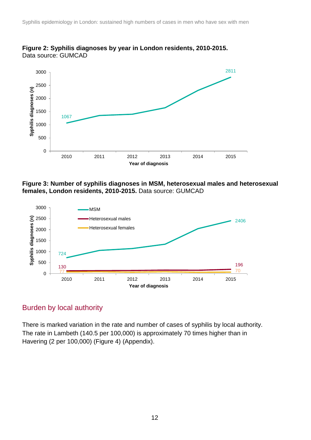

**Figure 2: Syphilis diagnoses by year in London residents, 2010-2015.**  Data source: GUMCAD





## Burden by local authority

There is marked variation in the rate and number of cases of syphilis by local authority. The rate in Lambeth (140.5 per 100,000) is approximately 70 times higher than in Havering (2 per 100,000) (Figure 4) (Appendix).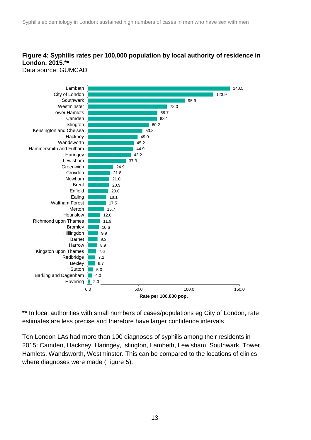## **Figure 4: Syphilis rates per 100,000 population by local authority of residence in London, 2015.\*\***

Data source: GUMCAD



**\*\*** In local authorities with small numbers of cases/populations eg City of London, rate estimates are less precise and therefore have larger confidence intervals

Ten London LAs had more than 100 diagnoses of syphilis among their residents in 2015: Camden, Hackney, Haringey, Islington, Lambeth, Lewisham, Southwark, Tower Hamlets, Wandsworth, Westminster. This can be compared to the locations of clinics where diagnoses were made (Figure 5).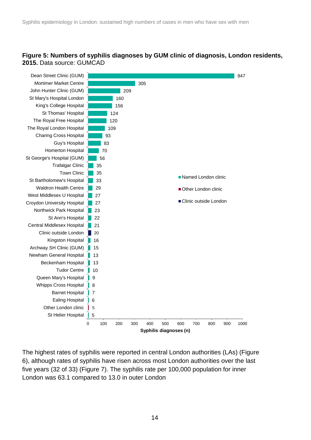#### **Figure 5: Numbers of syphilis diagnoses by GUM clinic of diagnosis, London residents, 2015.** Data source: GUMCAD



The highest rates of syphilis were reported in central London authorities (LAs) (Figure 6), although rates of syphilis have risen across most London authorities over the last five years (32 of 33) (Figure 7). The syphilis rate per 100,000 population for inner London was 63.1 compared to 13.0 in outer London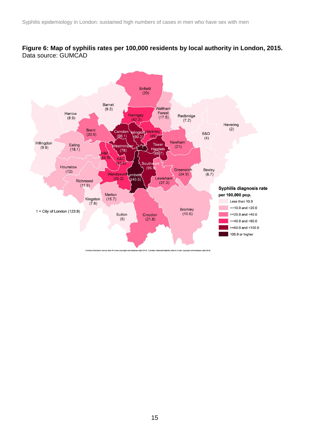#### **Figure 6: Map of syphilis rates per 100,000 residents by local authority in London, 2015.**  Data source: GUMCAD

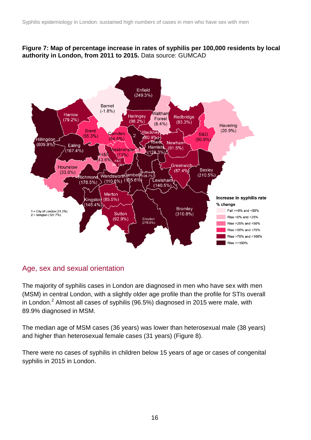#### **Figure 7: Map of percentage increase in rates of syphilis per 100,000 residents by local authority in London, from 2011 to 2015.** Data source: GUMCAD



### Age, sex and sexual orientation

The majority of syphilis cases in London are diagnosed in men who have sex with men (MSM) in central London, with a slightly older age profile than the profile for STIs overall in London.<sup>2</sup> Almost all cases of syphilis (96.5%) diagnosed in 2015 were male, with 89.9% diagnosed in MSM.

The median age of MSM cases (36 years) was lower than heterosexual male (38 years) and higher than heterosexual female cases (31 years) (Figure 8).

There were no cases of syphilis in children below 15 years of age or cases of congenital syphilis in 2015 in London.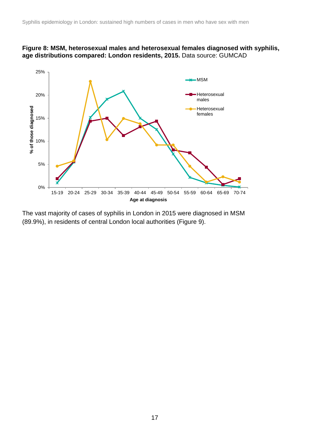



The vast majority of cases of syphilis in London in 2015 were diagnosed in MSM (89.9%), in residents of central London local authorities (Figure 9).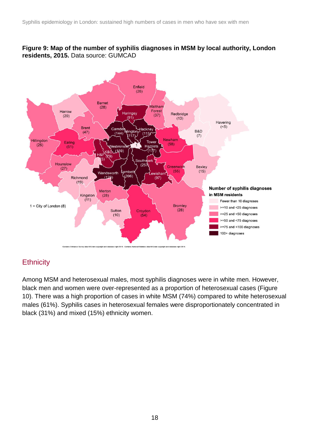#### **Figure 9: Map of the number of syphilis diagnoses in MSM by local authority, London residents, 2015.** Data source: GUMCAD



## **Ethnicity**

Among MSM and heterosexual males, most syphilis diagnoses were in white men. However, black men and women were over-represented as a proportion of heterosexual cases (Figure 10). There was a high proportion of cases in white MSM (74%) compared to white heterosexual males (61%). Syphilis cases in heterosexual females were disproportionately concentrated in black (31%) and mixed (15%) ethnicity women.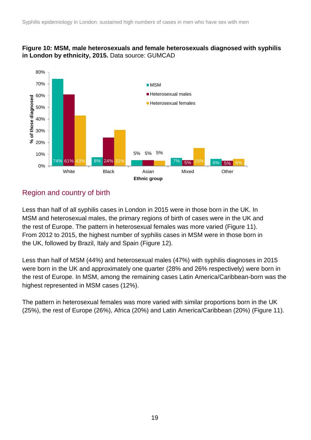#### **Figure 10: MSM, male heterosexuals and female heterosexuals diagnosed with syphilis in London by ethnicity, 2015.** Data source: GUMCAD



## Region and country of birth

Less than half of all syphilis cases in London in 2015 were in those born in the UK. In MSM and heterosexual males, the primary regions of birth of cases were in the UK and the rest of Europe. The pattern in heterosexual females was more varied (Figure 11). From 2012 to 2015, the highest number of syphilis cases in MSM were in those born in the UK, followed by Brazil, Italy and Spain (Figure 12).

Less than half of MSM (44%) and heterosexual males (47%) with syphilis diagnoses in 2015 were born in the UK and approximately one quarter (28% and 26% respectively) were born in the rest of Europe. In MSM, among the remaining cases Latin America/Caribbean-born was the highest represented in MSM cases (12%).

The pattern in heterosexual females was more varied with similar proportions born in the UK (25%), the rest of Europe (26%), Africa (20%) and Latin America/Caribbean (20%) (Figure 11).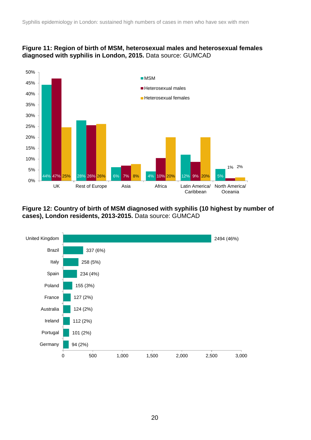#### **Figure 11: Region of birth of MSM, heterosexual males and heterosexual females diagnosed with syphilis in London, 2015.** Data source: GUMCAD



**Figure 12: Country of birth of MSM diagnosed with syphilis (10 highest by number of cases), London residents, 2013-2015.** Data source: GUMCAD



20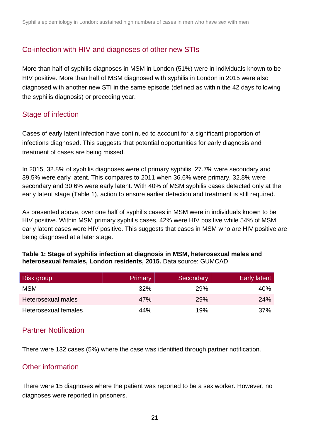### Co-infection with HIV and diagnoses of other new STIs

More than half of syphilis diagnoses in MSM in London (51%) were in individuals known to be HIV positive. More than half of MSM diagnosed with syphilis in London in 2015 were also diagnosed with another new STI in the same episode (defined as within the 42 days following the syphilis diagnosis) or preceding year.

## Stage of infection

Cases of early latent infection have continued to account for a significant proportion of infections diagnosed. This suggests that potential opportunities for early diagnosis and treatment of cases are being missed.

In 2015, 32.8% of syphilis diagnoses were of primary syphilis, 27.7% were secondary and 39.5% were early latent. This compares to 2011 when 36.6% were primary, 32.8% were secondary and 30.6% were early latent. With 40% of MSM syphilis cases detected only at the early latent stage (Table 1), action to ensure earlier detection and treatment is still required.

As presented above, over one half of syphilis cases in MSM were in individuals known to be HIV positive. Within MSM primary syphilis cases, 42% were HIV positive while 54% of MSM early latent cases were HIV positive. This suggests that cases in MSM who are HIV positive are being diagnosed at a later stage.

#### **Table 1: Stage of syphilis infection at diagnosis in MSM, heterosexual males and heterosexual females, London residents, 2015.** Data source: GUMCAD

| Risk group           | Primary | Secondary | Early latent |
|----------------------|---------|-----------|--------------|
| <b>MSM</b>           | 32%     | 29%       | 40%          |
| Heterosexual males   | 47%     | 29%       | 24%          |
| Heterosexual females | 44%     | 19%       | 37%          |

### Partner Notification

There were 132 cases (5%) where the case was identified through partner notification.

### Other information

There were 15 diagnoses where the patient was reported to be a sex worker. However, no diagnoses were reported in prisoners.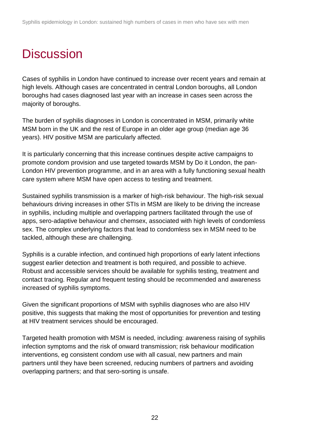# <span id="page-21-0"></span>**Discussion**

Cases of syphilis in London have continued to increase over recent years and remain at high levels. Although cases are concentrated in central London boroughs, all London boroughs had cases diagnosed last year with an increase in cases seen across the majority of boroughs.

The burden of syphilis diagnoses in London is concentrated in MSM, primarily white MSM born in the UK and the rest of Europe in an older age group (median age 36 years). HIV positive MSM are particularly affected.

It is particularly concerning that this increase continues despite active campaigns to promote condom provision and use targeted towards MSM by Do it London, the pan-London HIV prevention programme, and in an area with a fully functioning sexual health care system where MSM have open access to testing and treatment.

Sustained syphilis transmission is a marker of high-risk behaviour. The high-risk sexual behaviours driving increases in other STIs in MSM are likely to be driving the increase in syphilis, including multiple and overlapping partners facilitated through the use of apps, sero-adaptive behaviour and chemsex, associated with high levels of condomless sex. The complex underlying factors that lead to condomless sex in MSM need to be tackled, although these are challenging.

Syphilis is a curable infection, and continued high proportions of early latent infections suggest earlier detection and treatment is both required, and possible to achieve. Robust and accessible services should be available for syphilis testing, treatment and contact tracing. Regular and frequent testing should be recommended and awareness increased of syphilis symptoms.

Given the significant proportions of MSM with syphilis diagnoses who are also HIV positive, this suggests that making the most of opportunities for prevention and testing at HIV treatment services should be encouraged.

Targeted health promotion with MSM is needed, including: awareness raising of syphilis infection symptoms and the risk of onward transmission; risk behaviour modification interventions, eg consistent condom use with all casual, new partners and main partners until they have been screened, reducing numbers of partners and avoiding overlapping partners; and that sero-sorting is unsafe.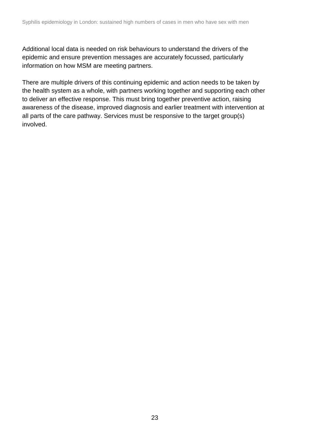Additional local data is needed on risk behaviours to understand the drivers of the epidemic and ensure prevention messages are accurately focussed, particularly information on how MSM are meeting partners.

There are multiple drivers of this continuing epidemic and action needs to be taken by the health system as a whole, with partners working together and supporting each other to deliver an effective response. This must bring together preventive action, raising awareness of the disease, improved diagnosis and earlier treatment with intervention at all parts of the care pathway. Services must be responsive to the target group(s) involved.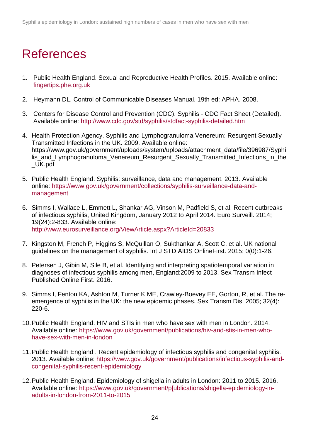## <span id="page-23-0"></span>References

- 1. Public Health England. Sexual and Reproductive Health Profiles. 2015. Available online: [fingertips.phe.org.uk](../../sangeeta.rana/AppData/Local/Microsoft/Windows/Temporary%20Internet%20Files/Drafts/fingertips.phe.org.uk)
- 2. Heymann DL. Control of Communicable Diseases Manual. 19th ed: APHA. 2008.
- 3. Centers for Disease Control and Prevention (CDC). Syphilis CDC Fact Sheet (Detailed). Available online:<http://www.cdc.gov/std/syphilis/stdfact-syphilis-detailed.htm>
- 4. Health Protection Agency. Syphilis and Lymphogranuloma Venereum: Resurgent Sexually Transmitted Infections in the UK. 2009. Available online: https://www.gov.uk/government/uploads/system/uploads/attachment\_data/file/396987/Syphi lis\_and\_Lymphogranuloma\_Venereum\_Resurgent\_Sexually\_Transmitted\_Infections\_in\_the \_UK.pdf
- 5. Public Health England. Syphilis: surveillance, data and management. 2013. Available online: [https://www.gov.uk/government/collections/syphilis-surveillance-data-and](https://www.gov.uk/government/collections/syphilis-surveillance-data-and-management)[management](https://www.gov.uk/government/collections/syphilis-surveillance-data-and-management)
- 6. Simms I, Wallace L, Emmett L, Shankar AG, Vinson M, Padfield S, et al. Recent outbreaks of infectious syphilis, United Kingdom, January 2012 to April 2014. Euro Surveill. 2014; 19(24):2-833. Available online: <http://www.eurosurveillance.org/ViewArticle.aspx?ArticleId=20833>
- 7. Kingston M, French P, Higgins S, McQuillan O, Sukthankar A, Scott C, et al. UK national guidelines on the management of syphilis. Int J STD AIDS OnlineFirst. 2015; 0(0):1-26.
- 8. Petersen J, Gibin M, Sile B, et al. Identifying and interpreting spatiotemporal variation in diagnoses of infectious syphilis among men, England:2009 to 2013. Sex Transm Infect Published Online First. 2016.
- 9. Simms I, Fenton KA, Ashton M, Turner K ME, Crawley-Boevey EE, Gorton, R, et al. The reemergence of syphilis in the UK: the new epidemic phases. Sex Transm Dis. 2005; 32(4): 220-6.
- 10.Public Health England. HIV and STIs in men who have sex with men in London. 2014. Available online: [https://www.gov.uk/government/publications/hiv-and-stis-in-men-who](https://www.gov.uk/government/publications/hiv-and-stis-in-men-who-have-sex-with-men-in-london)[have-sex-with-men-in-london](https://www.gov.uk/government/publications/hiv-and-stis-in-men-who-have-sex-with-men-in-london)
- 11.Public Health England . Recent epidemiology of infectious syphilis and congenital syphilis. 2013. Available online: [https://www.gov.uk/government/publications/infectious-syphilis-and](https://www.gov.uk/government/publications/infectious-syphilis-and-congenital-syphilis-recent-epidemiology)[congenital-syphilis-recent-epidemiology](https://www.gov.uk/government/publications/infectious-syphilis-and-congenital-syphilis-recent-epidemiology)
- 12.Public Health England. Epidemiology of shigella in adults in London: 2011 to 2015. 2016. Available online: [https://www.gov.uk/government/p\[ublications/shigella-epidemiology-in](https://www.gov.uk/government/p%5bublications/shigella-epidemiology-in-adults-in-london-from-2011-to-2015)[adults-in-london-from-2011-to-2015](https://www.gov.uk/government/p%5bublications/shigella-epidemiology-in-adults-in-london-from-2011-to-2015)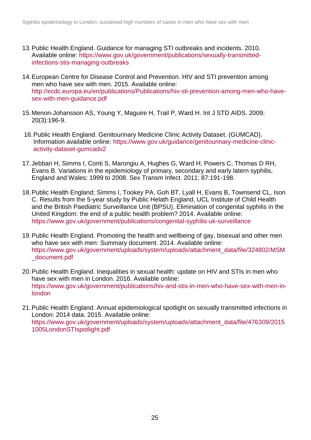- 13.Public Health England. Guidance for managing STI outbreaks and incidents. 2010. Available online: [https://www.gov.uk/government/publications/sexually-transmitted](https://www.gov.uk/government/publications/sexually-transmitted-infections-stis-managing-outbreaks)[infections-stis-managing-outbreaks](https://www.gov.uk/government/publications/sexually-transmitted-infections-stis-managing-outbreaks)
- 14.European Centre for Disease Control and Prevention. HIV and STI prevention among men who have sex with men. 2015. Available online: [http://ecdc.europa.eu/en/publications/Publications/hiv-sti-prevention-among-men-who-have](http://ecdc.europa.eu/en/publications/Publications/hiv-sti-prevention-among-men-who-have-sex-with-men-guidance.pdf)[sex-with-men-guidance.pdf](http://ecdc.europa.eu/en/publications/Publications/hiv-sti-prevention-among-men-who-have-sex-with-men-guidance.pdf)
- 15.Menon-Johansson AS, Young Y, Maguire H, Trail P, Ward H. Int J STD AIDS. 2009; 20(3):196-9.
- 16.Public Health England. Genitourinary Medicine Clinic Activity Dataset. (GUMCAD). Information available online: [https://www.gov.uk/guidance/genitourinary-medicine-clinic](https://www.gov.uk/guidance/genitourinary-medicine-clinic-activity-dataset-gumcadv2)[activity-dataset-gumcadv2](https://www.gov.uk/guidance/genitourinary-medicine-clinic-activity-dataset-gumcadv2)
- 17.Jebbari H, Simms I, Conti S, Marongiu A, Hughes G, Ward H, Powers C, Thomas D RH, Evans B. Variations in the epidemiology of primary, secondary and early latern syphilis, England and Wales: 1999 to 2008. Sex Transm Infect. 2011; 87:191-198.
- 18.Public Health England; Simms I, Tookey PA, Goh BT, Lyall H, Evans B, Townsend CL, Ison C. Results from the 5-year study by Public Helath England, UCL Institute of Child Health and the British Paediatric Surveillance Unit (BPSU). Elimination of congenital syphilis in the United Kingdom: the end of a public health problem? 2014. Available online: <https://www.gov.uk/government/publications/congenital-syphilis-uk-surveillance>
- 19.Public Health England. Promoting the health and wellbeing of gay, bisexual and other men who have sex with men: Summary document. 2014. Available online: [https://www.gov.uk/government/uploads/system/uploads/attachment\\_data/file/324802/MSM](https://www.gov.uk/government/uploads/system/uploads/attachment_data/file/324802/MSM_document.pdf) [\\_document.pdf](https://www.gov.uk/government/uploads/system/uploads/attachment_data/file/324802/MSM_document.pdf)
- 20.Public Health England. Inequalities in sexual health: update on HIV and STIs in men who have sex with men in London. 2016. Available online: [https://www.gov.uk/government/publications/hiv-and-stis-in-men-who-have-sex-with-men-in](https://www.gov.uk/government/publications/hiv-and-stis-in-men-who-have-sex-with-men-in-london)[london](https://www.gov.uk/government/publications/hiv-and-stis-in-men-who-have-sex-with-men-in-london)
- 21.Public Health England. Annual epidemiological spotlight on sexually transmitted infections in London: 2014 data. 2015. Available online: [https://www.gov.uk/government/uploads/system/uploads/attachment\\_data/file/476309/2015](https://www.gov.uk/government/uploads/system/uploads/attachment_data/file/476309/20151005LondonSTIspotlight.pdf) [1005LondonSTIspotlight.pdf](https://www.gov.uk/government/uploads/system/uploads/attachment_data/file/476309/20151005LondonSTIspotlight.pdf)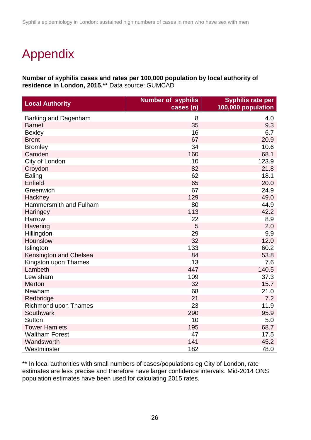# <span id="page-25-0"></span>Appendix

**Number of syphilis cases and rates per 100,000 population by local authority of residence in London, 2015.\*\*** Data source: GUMCAD

| <b>Local Authority</b>      | <b>Number of syphilis</b><br>cases (n) | <b>Syphilis rate per</b><br>100,000 population |
|-----------------------------|----------------------------------------|------------------------------------------------|
| Barking and Dagenham        | 8                                      | 4.0                                            |
| <b>Barnet</b>               | 35                                     | 9.3                                            |
| <b>Bexley</b>               | 16                                     | 6.7                                            |
| <b>Brent</b>                | 67                                     | 20.9                                           |
| <b>Bromley</b>              | 34                                     | 10.6                                           |
| Camden                      | 160                                    | 68.1                                           |
| City of London              | 10                                     | 123.9                                          |
| Croydon                     | 82                                     | 21.8                                           |
| Ealing                      | 62                                     | 18.1                                           |
| Enfield                     | 65                                     | 20.0                                           |
| Greenwich                   | 67                                     | 24.9                                           |
| Hackney                     | 129                                    | 49.0                                           |
| Hammersmith and Fulham      | 80                                     | 44.9                                           |
| Haringey                    | 113                                    | 42.2                                           |
| Harrow                      | 22                                     | 8.9                                            |
| Havering                    | 5                                      | 2.0                                            |
| Hillingdon                  | 29                                     | 9.9                                            |
| Hounslow                    | 32                                     | 12.0                                           |
| Islington                   | 133                                    | 60.2                                           |
| Kensington and Chelsea      | 84                                     | 53.8                                           |
| Kingston upon Thames        | 13                                     | 7.6                                            |
| Lambeth                     | 447                                    | 140.5                                          |
| Lewisham                    | 109                                    | 37.3                                           |
| Merton                      | 32                                     | 15.7                                           |
| Newham                      | 68                                     | 21.0                                           |
| Redbridge                   | 21                                     | 7.2                                            |
| <b>Richmond upon Thames</b> | 23                                     | 11.9                                           |
| Southwark                   | 290                                    | 95.9                                           |
| <b>Sutton</b>               | 10                                     | 5.0                                            |
| <b>Tower Hamlets</b>        | 195                                    | 68.7                                           |
| <b>Waltham Forest</b>       | 47                                     | 17.5                                           |
| Wandsworth                  | 141                                    | 45.2                                           |
| Westminster                 | 182                                    | 78.0                                           |

\*\* In local authorities with small numbers of cases/populations eg City of London, rate estimates are less precise and therefore have larger confidence intervals. Mid-2014 ONS population estimates have been used for calculating 2015 rates.